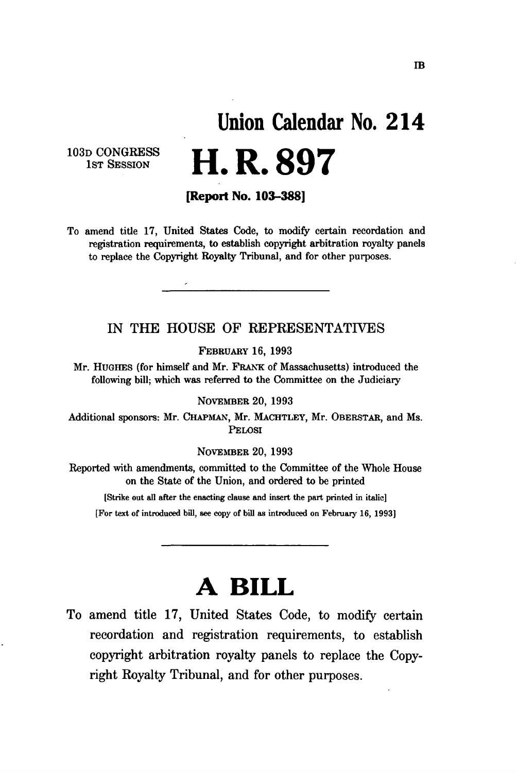# **Union Calendar No. 21 4 H. R. 897**

103D CONGRESS 1<sub>ST</sub> SESSION

**[Report No. 103-388]** 

To amend title 17, United States Code, to modify certain recordation and registration requirements, to establish copyright arbitration royalty panels to replace the Copyright Royalty Tribunal, and for other purposes.

#### IN THE HOUSE OF REPRESENTATIVES

FEBRUARY 16, 1993

Mr. HUGHES (for himself and Mr. FRANK of Massachusetts) introduced the following bill; which was referred to the Committee on the Judiciary

NOVEMBER 20, 1993

Additional sponsors: Mr. CHAPMAN, Mr. MACHTLEY, Mr. OBERSTAR, and Ms. PELOSI

NOVEMBER 20, 1993

Reported with amendments, committed to the Committee of the Whole House on the State of the Union, and ordered to be printed

**[Strike out all after the enacting clause and insert the part printed in italic]** 

**[For text of introduced bill, see copy of bill as introduced on February 16, 1993]** 

## **A BILL**

To amend title 17, United States Code, to modify certain recordation and registration requirements, to establish copyright arbitration royalty panels to replace the Copyright Royalty Tribunal, and for other purposes.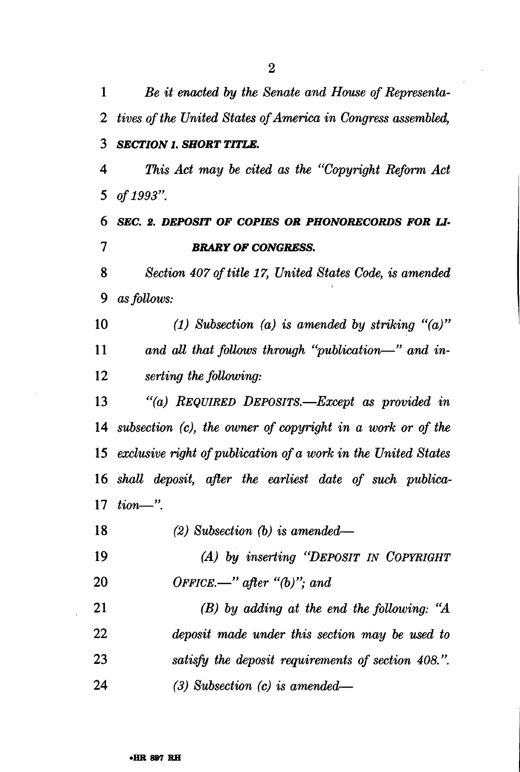| 1               | Be it enacted by the Senate and House of Representa-          |
|-----------------|---------------------------------------------------------------|
| 2               | tives of the United States of America in Congress assembled,  |
| 3               | <b>SECTION 1. SHORT TITLE.</b>                                |
| 4               | This Act may be cited as the "Copyright Reform Act"           |
| 5               | of 1993".                                                     |
| 6               | SEC. 2. DEPOSIT OF COPIES OR PHONORECORDS FOR LI-             |
| 7               | <b>BRARY OF CONGRESS.</b>                                     |
| 8               | Section 407 of title 17, United States Code, is amended       |
| 9               | as follows:                                                   |
| 10              | (1) Subsection (a) is amended by striking " $(a)$ "           |
| 11              | and all that follows through "publication—" and in-           |
| 12 <sup>2</sup> | serting the following:                                        |
| 13              | "(a) REQUIRED DEPOSITS.-Except as provided in                 |
| 14              | subsection (c), the owner of copyright in a work or of the    |
| 15              | exclusive right of publication of a work in the United States |
|                 | 16 shall deposit, after the earliest date of such publica-    |
| 17              | $tion$ — $"$ .                                                |
| 18              | $(2)$ Subsection $(b)$ is amended—                            |
| 19              | (A) by inserting "DEPOSIT IN COPYRIGHT                        |
| 20              | OFFICE.—" after " $(b)$ "; and                                |
| 21              | $(B)$ by adding at the end the following: "A                  |
| 22              | deposit made under this section may be used to                |
| 23              | satisfy the deposit requirements of section 408.".            |
| 24              | $(3)$ Subsection $(c)$ is amended—                            |

 $\frac{1}{2}$  $\overline{a}$ 

 $\mathcal{A}_\mathrm{c}$ 

 $\ddot{\phantom{a}}$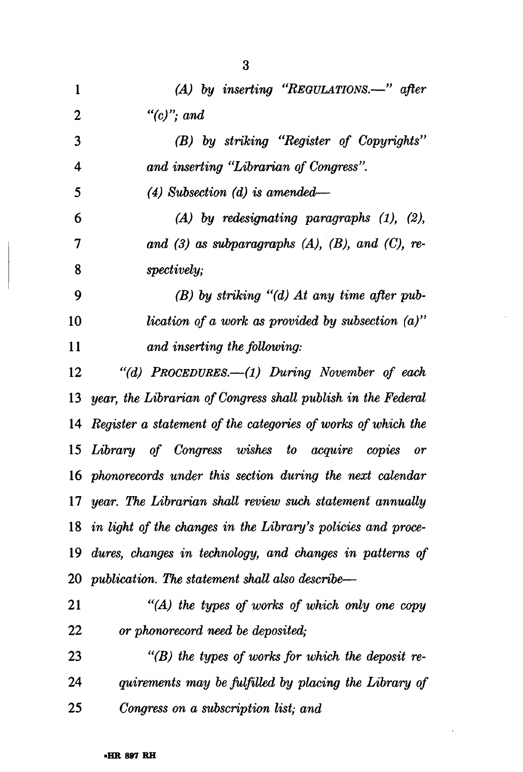| $\mathbf{1}$    | (A) by inserting "REGULATIONS.-" after                          |
|-----------------|-----------------------------------------------------------------|
| 2               | "(c)"; and                                                      |
| 3               | (B) by striking "Register of Copyrights"                        |
| 4               | and inserting "Librarian of Congress".                          |
| 5               | $(4)$ Subsection $(d)$ is amended—                              |
| 6               | $(A)$ by redesignating paragraphs $(1)$ , $(2)$ ,               |
| 7               | and $(3)$ as subparagraphs $(A)$ , $(B)$ , and $(C)$ , re-      |
| 8               | spectively;                                                     |
| 9               | $(B)$ by striking "(d) At any time after pub-                   |
| 10              | lication of a work as provided by subsection $(a)$ "            |
| 11              | and inserting the following:                                    |
| 12              | "(d) PROCEDURES.—(1) During November of each                    |
|                 | 13 year, the Librarian of Congress shall publish in the Federal |
|                 | 14 Register a statement of the categories of works of which the |
| 15 <sup>2</sup> | Library of Congress wishes to acquire copies or                 |
|                 | 16 phonorecords under this section during the next calendar     |
|                 | 17 year. The Librarian shall review such statement annually     |
| 18              | in light of the changes in the Library's policies and proce-    |
| 19              | dures, changes in technology, and changes in patterns of        |
|                 | 20 publication. The statement shall also describe—              |
| 21              | $H(A)$ the types of works of which only one copy                |
| 22              | or phonorecord need be deposited;                               |
| 23              | $\lq$ (B) the types of works for which the deposit re-          |
| 24              | quirements may be fulfilled by placing the Library of           |
| 25              | Congress on a subscription list; and                            |

 $\overline{a}$ 

 $\ddot{\phantom{a}}$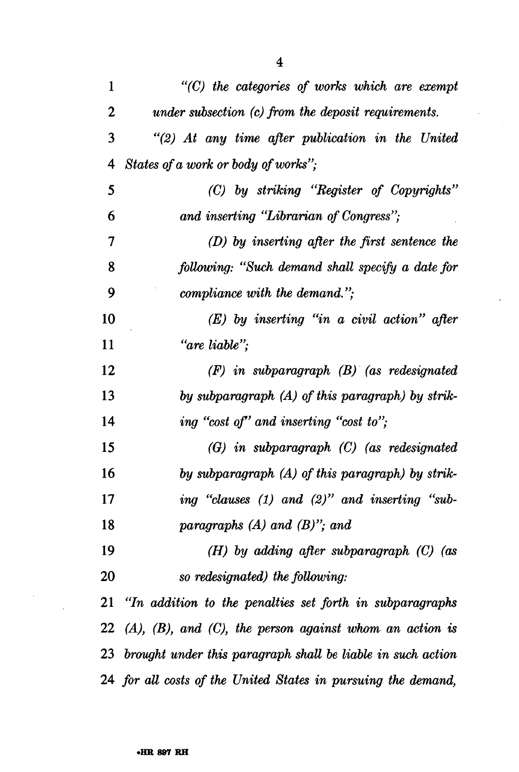| 1  | $"$ (C) the categories of works which are exempt                    |
|----|---------------------------------------------------------------------|
| 2  | under subsection (c) from the deposit requirements.                 |
| 3  | $\lq(2)$ At any time after publication in the United                |
| 4  | States of a work or body of works";                                 |
| 5  | (C) by striking "Register of Copyrights"                            |
| 6  | and inserting "Librarian of Congress";                              |
| 7  | $(D)$ by inserting after the first sentence the                     |
| 8  | following: "Such demand shall specify a date for                    |
| 9  | compliance with the demand.";                                       |
| 10 | $(E)$ by inserting "in a civil action" after                        |
| 11 | "are liable";                                                       |
| 12 | $(F)$ in subparagraph $(B)$ (as redesignated                        |
| 13 | by subparagraph (A) of this paragraph) by strik-                    |
| 14 | ing "cost of" and inserting "cost to";                              |
| 15 | (G) in subparagraph (C) (as redesignated                            |
| 16 | by subparagraph (A) of this paragraph) by strik-                    |
| 17 | ing "clauses $(1)$ and $(2)$ " and inserting "sub-                  |
| 18 | paragraphs $(A)$ and $(B)$ "; and                                   |
| 19 | (H) by adding after subparagraph $(C)$ (as                          |
| 20 | so redesignated) the following:                                     |
|    | 21 "In addition to the penalties set forth in subparagraphs         |
|    | 22 $(A)$ , $(B)$ , and $(C)$ , the person against whom an action is |
|    | 23 brought under this paragraph shall be liable in such action      |
|    | 24 for all costs of the United States in pursuing the demand,       |

 $\ddot{\phantom{0}}$ 

 $\ddot{\phantom{a}}$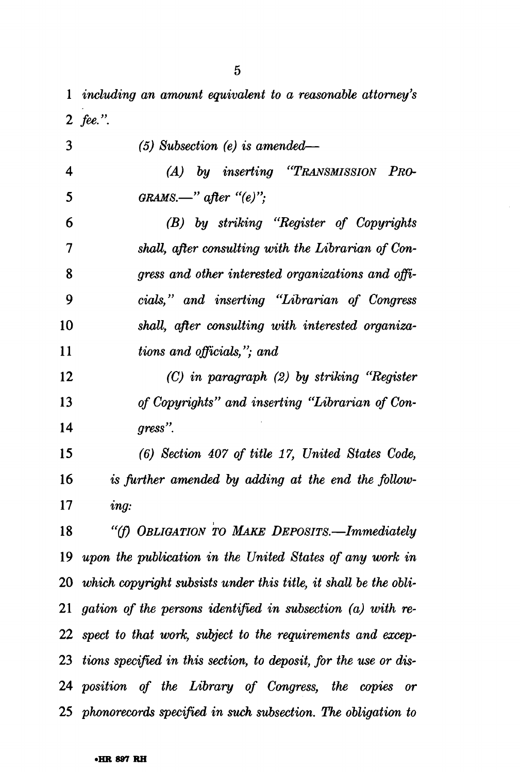*including an amount equivalent to a reasonable attorney's 2 fee.".* 

| 3                       | $(5)$ Subsection $(e)$ is amended—                                  |
|-------------------------|---------------------------------------------------------------------|
| $\overline{\mathbf{4}}$ | (A) by inserting "TRANSMISSION PRO-                                 |
| 5                       | $GRAMS$ —" after "(e)";                                             |
| 6                       | (B) by striking "Register of Copyrights                             |
| 7                       | shall, after consulting with the Librarian of Con-                  |
| 8                       | gress and other interested organizations and offi-                  |
| 9                       | cials," and inserting "Librarian of Congress"                       |
| 10                      | shall, after consulting with interested organiza-                   |
| 11                      | tions and officials,"; and                                          |
| 12                      | $(C)$ in paragraph $(2)$ by striking "Register                      |
| 13                      | of Copyrights" and inserting "Librarian of Con-                     |
| 14                      | $gress$ ".                                                          |
| 15                      | (6) Section 407 of title 17, United States Code,                    |
| 16                      | is further amended by adding at the end the follow-                 |
| 17                      | ing:                                                                |
| 18                      | "(f) OBLIGATION TO MAKE DEPOSITS.-Immediately                       |
| 19                      | upon the publication in the United States of any work in            |
|                         | 20 which copyright subsists under this title, it shall be the obli- |
|                         | 21 gation of the persons identified in subsection $(a)$ with re-    |
|                         | 22 spect to that work, subject to the requirements and excep-       |
|                         | 23 tions specified in this section, to deposit, for the use or dis- |
|                         | 24 position of the Library of Congress, the copies or               |
|                         | 25 phonorecords specified in such subsection. The obligation to     |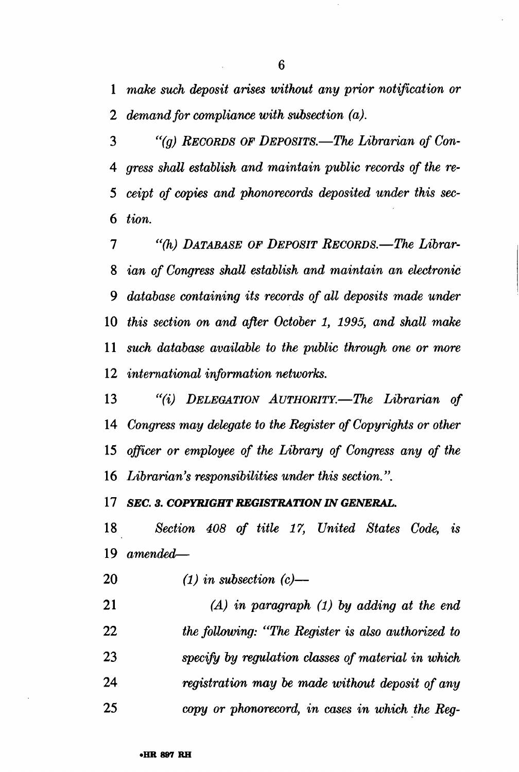*make such deposit arises without any prior notification or 2 demand for compliance with subsection (a).* 

 *"(g) RECORDS OF DEPOSITS.*—*The Librarian of Con- gress shall establish and maintain public records of the re- ceipt of copies and phonorecords deposited under this sec- tion.* 

*1 "(h) DATABASE OF DEPOSIT RECORDS.*—*The Librar- ian of Congress shall establish and maintain an electronic 9 database containing its records of all deposits made under this section on and after October 1, 1995, and shall make such database available to the public through one or more international information networks.* 

 *"(%) DELEGATION AUTHORITY.*—*The Librarian of Congress may delegate to the Register of Copyrights or other officer or employee of the Library of Congress any of the Librarian's responsibilities under this section.".* 

 *SEC. 3. COPYRIGHT REGISTRATION IN GENERAL.* 

 *Section 408 of title 17, United States Code, is amended*—

- *(1) in subsection (c)*—
- *(A) in paragraph (1) by adding at the end the following: "The Register is also authorized to specify by regulation classes of material in which registration may be made without deposit of any copy or phonorecord, in cases in which the Reg-*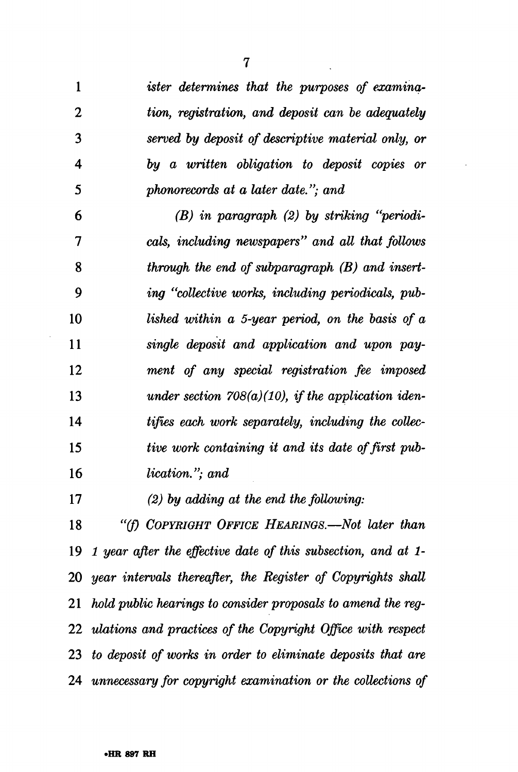| ister determines that the purposes of examina-                      |
|---------------------------------------------------------------------|
| tion, registration, and deposit can be adequately                   |
| served by deposit of descriptive material only, or                  |
| by a written obligation to deposit copies or                        |
| phonorecords at a later date."; and                                 |
| $(B)$ in paragraph $(2)$ by striking "periodi-                      |
| cals, including newspapers" and all that follows                    |
| through the end of subparagraph $(B)$ and insert-                   |
| ing "collective works, including periodicals, pub-                  |
| lished within a 5-year period, on the basis of a                    |
| single deposit and application and upon pay-                        |
| ment of any special registration fee imposed                        |
| under section $708(a)(10)$ , if the application iden-               |
| tifies each work separately, including the collec-                  |
| tive work containing it and its date of first pub-                  |
| <i>lication.</i> "; and                                             |
| $(2)$ by adding at the end the following:                           |
| "(f) COPYRIGHT OFFICE HEARINGS.—Not later than                      |
| 1 year after the effective date of this subsection, and at 1-<br>19 |
|                                                                     |

 *year intervals thereafter, the Register of Copyrights shall hold public hearings to consider proposals to amend the reg- ulations and practices of the Copyright Office with respect to deposit of works in order to eliminate deposits that are unnecessary for copyright examination or the collections of*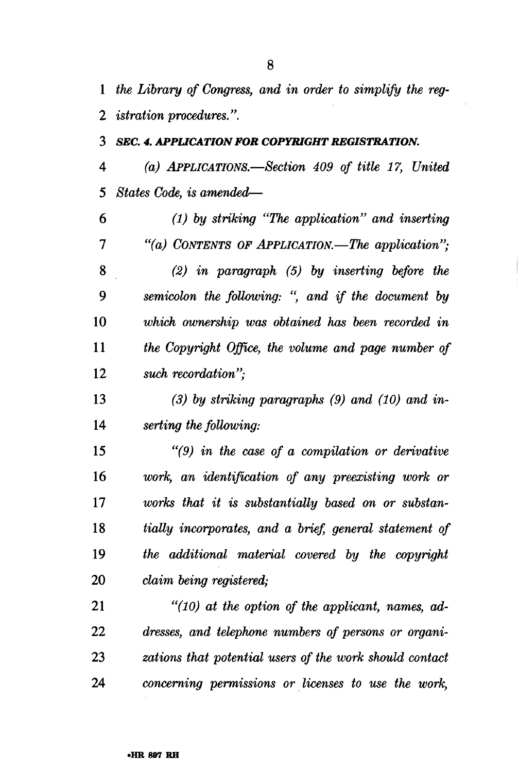*the Library of Congress, and in order to simplify the reg-2 istration procedures.".* 

#### *SEC. 4. APPUCATION FOR COPYRIGHT REGISTRATION*

 *(a) APPLICATIONS.*—*Section 409 of title 17, United States Code, is amended*—

 *(1) by striking "The application" and inserting "(a) CONTENTS OF APPLICATION.*—*The application"; (2) in paragraph (5) by inserting before the semicolon the following:* " *and if the document by which ownership was obtained has been recorded in the Copyright Office, the volume and page number of such recordation";* 

 *(3) by striking paragraphs (9) and (10) and in- serting the following:* 

 *"(9) in the case of a compilation or derivative work, an identification of any preexisting work or works that it is substantially based on or substan- tially incorporates, and a brief, general statement of the additional material covered by the copyright claim being registered;* 

 *"(10) at the option of the applicant, names, ad- dresses, and telephone numbers of persons or organi- zations that potential users of the work should contact concerning permissions or licenses to use the work,*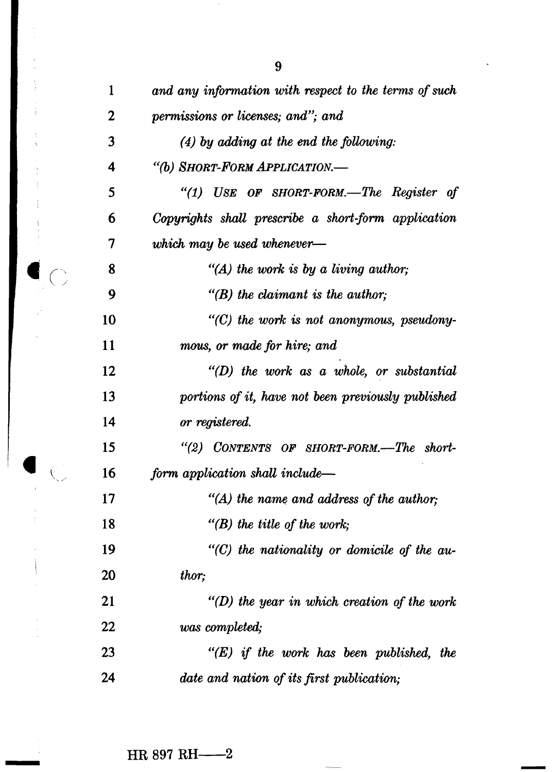| 1              | and any information with respect to the terms of such |
|----------------|-------------------------------------------------------|
| $\overline{2}$ | permissions or licenses; and"; and                    |
| 3              | $(4)$ by adding at the end the following:             |
| 4              | "(b) SHORT-FORM APPLICATION.-                         |
| 5              | "(1) USE OF SHORT-FORM.—The Register of               |
| 6              | Copyrights shall prescribe a short-form application   |
| 7              | which may be used whenever-                           |
| 8              | "(A) the work is by a living author;                  |
| 9              | $\lq$ (B) the claimant is the author;                 |
| 10             | $"$ (C) the work is not anonymous, pseudony-          |
| 11             | mous, or made for hire; and                           |
| 12             | $"(D)$ the work as a whole, or substantial            |
| 13             | portions of it, have not been previously published    |
| 14             | or registered.                                        |
| 15             | "(2) CONTENTS OF SHORT-FORM.—The short-               |
| 16             | form application shall include—                       |
| 17             | $H(A)$ the name and address of the author;            |
| 18             | "(B) the title of the work;                           |
| 19             | $"$ (C) the nationality or domicile of the au-        |
| 20             | thor;                                                 |
| 21             | $"(D)$ the year in which creation of the work         |
| 22             | was completed;                                        |
| 23             | $"E$ ) if the work has been published, the            |
| 24             | date and nation of its first publication;             |
|                |                                                       |

 $\bullet$  C

 $\overline{C}$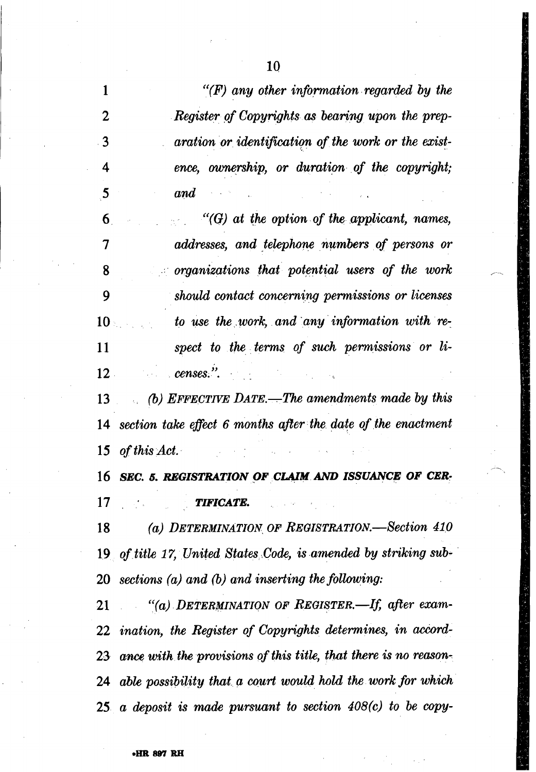| 1            | $\lq (F)$ any other information regarded by the                             |
|--------------|-----------------------------------------------------------------------------|
| 2            | Register of Copyrights as bearing upon the prep-                            |
| 3            | aration or identification of the work or the exist-                         |
| 4            | ence, ownership, or duration of the copyright;                              |
| $\mathbf{5}$ | $and$ and $\Box$                                                            |
| 6            | $\mathcal{C}(G)$ at the option of the applicant, names,                     |
| 7            | addresses, and telephone numbers of persons or                              |
| 8            | $\Box$ organizations that potential users of the work                       |
| 9            | should contact concerning permissions or licenses                           |
| $10-$        | to use the work, and any information with re-                               |
| 11           | spect to the terms of such permissions or li-                               |
| $12-$        | $c$ enses.". The contract of $\mathcal{L}$ is the contract of $\mathcal{L}$ |
|              | 13 (b) EFFECTIVE DATE.—The amendments made by this                          |
|              | 14 section take effect 6 months after the date of the enactment             |
|              | 15 of this Act.<br>医心包的 医下颌的 化二氯化物 医水杨酸 医牙齿的                                |
|              | 16 SEC. 5. REGISTRATION OF CLAIM AND ISSUANCE OF CER-                       |
|              | $17$ and $17$<br><b>TIFICATE.</b>                                           |
| 18           | (a) DETERMINATION OF REGISTRATION.—Section 410                              |
|              | 19 of title 17, United States Code, is amended by striking sub-             |
|              | 20 sections $(a)$ and $(b)$ and inserting the following:                    |
|              | 21 "(a) DETERMINATION OF REGISTER.—If, after exam-                          |
|              | 22 ination, the Register of Copyrights determines, in accord-               |
|              |                                                                             |

23 ance with the provisions of this title, that there is no reason-*24 able possibility that a court would hold the work for which 25 a deposit is made pursuant to section 408(c) to be copy-*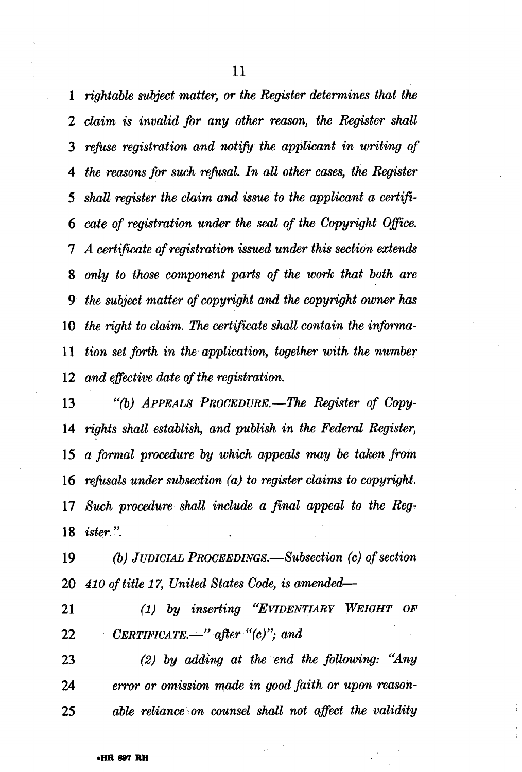*rightable subject matter, or the Register determines that the claim is invalid for any other reason, the Register shall refuse registration and notify the applicant in writing of* 4 the reasons for such refusal. In all other cases, the Register shall register the claim and issue to the applicant a certifi-*6 cate of registration under the seal of the Copyright Office. A certificate of registration issued under this section extends only to those component parts of the work that both are the subject matter of copyright and the copyright owner has the right to claim.* The *certificate shall contain the inforrna-11 tion set forth in the application, together with the number and effective date of the registration.* 

13 "(b) *APPEALS PROCEDURE.—The Register of Copy-rights shall establish, and publish in the Federal Register, a formal procedure by which appeals may be talcen from 16 rejksals under subsection (a) to register claims to copyright. 17 Such procedure shaU include a final appeal to the Reg-ister.".* 

 *(b) JUDICIAL PROCEEDINGS.—Subsection (c) of section* **410 of title 17, United States Code, is amended—** 

*21 (1) by inserting "EVIDENTIARY WEIGHT OF CERTIFICATE.-" afler "(c)': and* 

*(2) by adding at the end the following: "Any error or omission made in good faith or upon reason-able reliance on counsel shall not affect the validity*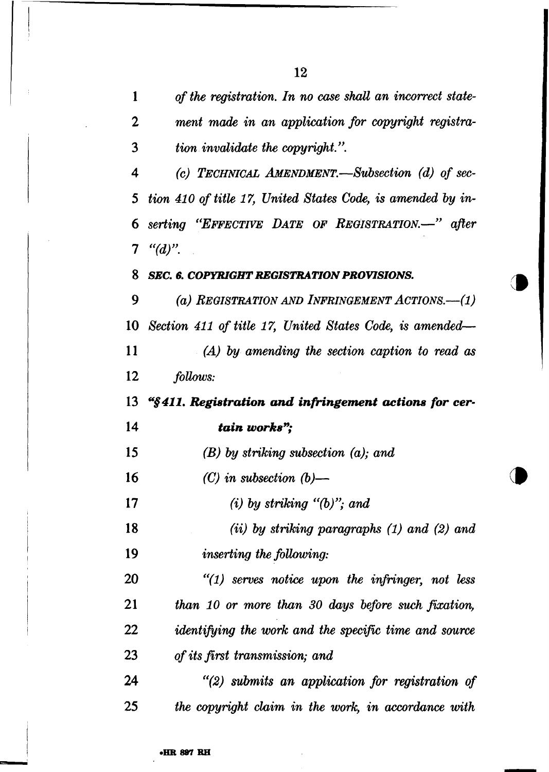*of the registration. In no case shall an incorrect state-2 ment made in an application for copyright registra- tion invalidate the copyright.". (c) TECHNICAL AMENDMENT.*—*Subsection (d) of sec- tion 410 of title 17, United States Code, is amended by in- serting "EFFECTIVE DATE OF REGISTRATION.*—" *after "(d)". SEC. 6. COPYRIGHT REGISTRATION PROVISIONS. (a) REGISTRATION AND INFRINGEMENT ACTIONS.*—*(l) Section 411 of title 17, United States Code, is amended*—  *(A) by amending the section caption to read as follows: "§411. Registration and infringement actions for cer- tain works"; (B) by striking subsection (a); and (C) in subsection (b)*—  *(i) by striking "(b)"; and (ii) by striking paragraphs (1) and (2) and inserting the following: "(1) serves notice upon the infringer, not less than 10 or more than 30 days before such fixation, identifying the work and the specific time and source of its first transmission; and "(2) submits an application for registration of the copyright claim in the work, in accordance with* 

**v1** 

**•HR 897 RH**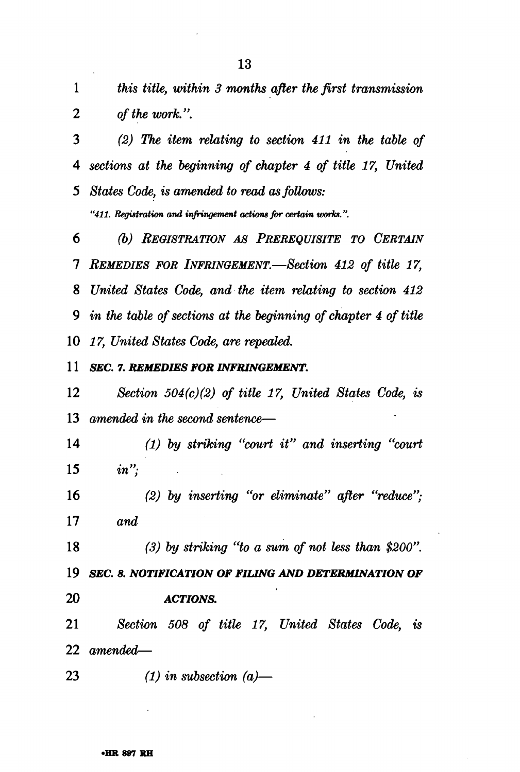*this title, within 3 months after the first transmission of the work.".* 

 *(2) The item relating to section 411 in the table of sections at the beginning of chapter 4 of title 17, United States Code, is amended to read as follows:* 

*"411. Registration and infringement actions for certain works.".* 

 *(b) REGISTRATION AS PREREQUISITE TO CERTAIN REMEDIES FOR INFRINGEMENT.*—*Section 412 of title 17, United States Code, and the item relating to section 412 in the table of sections at the beginning of chapter 4 of title 17, United States Code, are repealed.* 

 *SEC. 7. REMEDIES FOR INFRINGEMENT.* 

 *Section 504(c)(2) of title 17, United States Code, is amended in the second sentence*—

 *(1) by striking "court it" and inserting "court in";* 

 *(2) by inserting "or eliminate" after "reduce"; and* 

 *(3) by striking "to a sum of not less than \$200". SEC. 8. NOTIFICATION OF FILING AND DETERMINATION OF ACTIONS.* 

 *Section 508 of title 17, United States Code, is amended*—

 *(1) in subsection (a)*—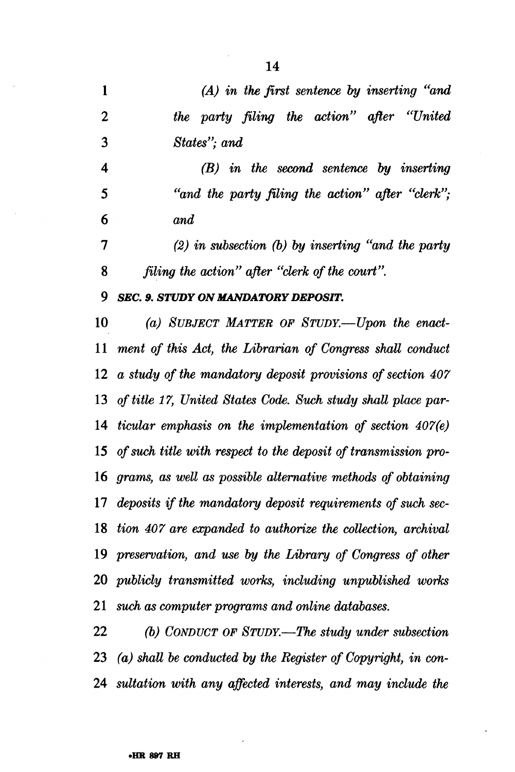*(A) in the first sentence by inserting "and 2 the party filing the action" after "United States"; and (B) in the second sentence by inserting 5 "and the party filing the action" after "clerk"; and (2) in subsection (b) by inserting "and the party filing the action" after "clerk of the court". 9 SEC. 9. STUDY ON MANDATORY DEPOSIT. (a) SUBJECT MATTER OF STUDY.*—*Upon the enact- ment of this Act, the Librarian of Congress shall conduct a study of the mandatory deposit provisions of section 407 of title 17, United States Code. Such study shall place par- ticular emphasis on the implementation of section 407(e) of such title with respect to the deposit of transmission pro- grams, as well as possible alternative methods of obtaining deposits if the mandatory deposit requirements of such sec- Hon 407 are expanded to authorize the collection, archival preservation, and use by the Library of Congress of other publicly transmitted works, including unpublished works* 

 *such as computer programs and online databases.* 

 *(b) CONDUCT OF STUDY.*—*The study under subsection (a) shall be conducted by the Register of Copyright, in con- sultation with any affected interests, and may include the*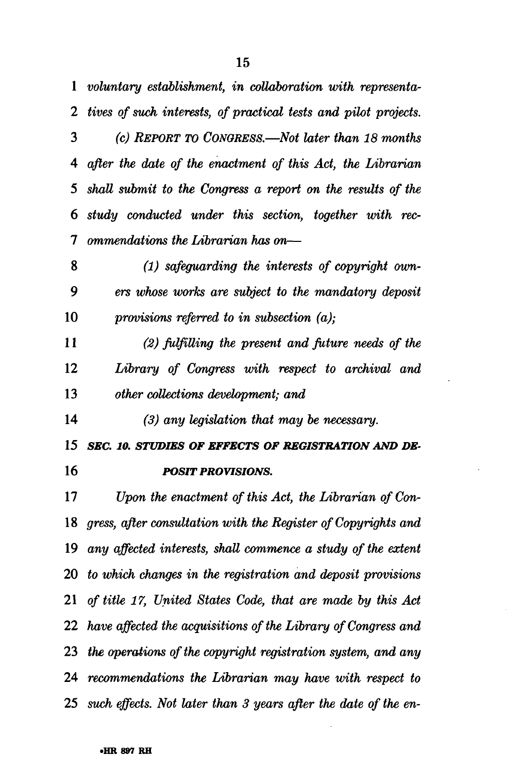*voluntary establishment, in collaboration with representa- tives of such interests, of practical tests and pilot projects. (c) REPORT TO CONGRESS.*—*Not later than 18 months after the date of the enactment of this Act, the Librarian shall submit to the Congress a report on the results of the study conducted under this section, together with rec- ommendations the Librarian has on*—

 *(1) safeguarding the interests of copyright own-9 ers whose works are subject to the mandatory deposit provisions referred to in subsection (a);* 

 *(2) fulfilling the present and future needs of the Library of Congress with respect to archival and other collections development; and* 

 *(3) any legislation that may be necessary.* 

 *SEC. 10. STUDIES OF EFFECTS OF REGISTRATION AND DE- POSIT PROVISIONS.* 

 *Upon the enactment of this Act, the Librarian of Con- gress, after consultation with the Register of Copyrights and any affected interests, shall commence a study of the extent to which changes in the registration and deposit provisions of title 17, United States Code, that are made by this Act have affected the acquisitions of the Library of Congress and the operations of the copyright registration system, and any recommendations the Librarian may have with respect to such effects. Not later than 3 years after the date of the en-*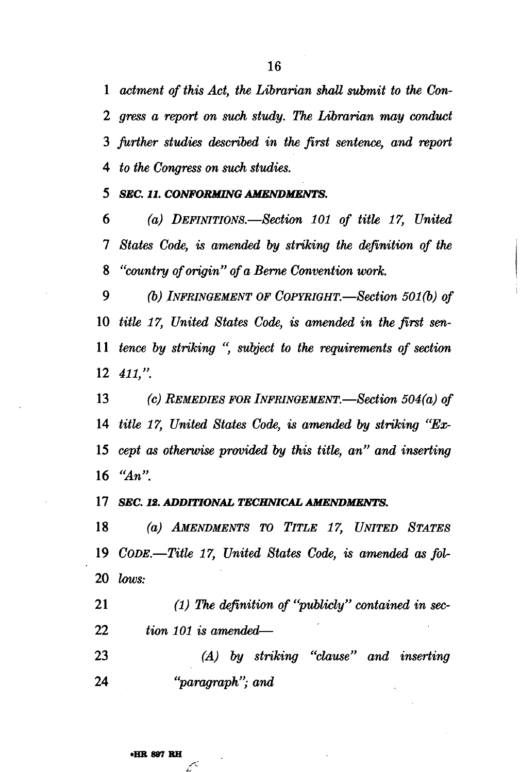*actment of this Act, the Librarian shall submit to the Con-2 gress a report on such study. The Librarian may conduct further studies described in the first sentence, and report to the Congress on such studies.* 

 *SEC. 11. CONFORMING AMENDMENTS.* 

 *(a) DEFINITIONS.*—*Section 101 of title 17, United States Code, is amended by striking the definition of the "country of origin" of a Berne Convention work.* 

 *(b) INFRINGEMENT OF COPYRIGHT.*—*Section 501(b) of title 17, United States Code, is amended in the first sen- tence by striking ", subject to the requirements of section 411,".* 

 *(c) REMEDIES FOR INFRINGEMENT.*—*Section 504(a) of title 17, United States Code, is amended by striking "Ex- cept as otherwise provided by this title, an" and inserting "An".* 

 *SEC. 12. ADDITIONAL TECHNICAL AMENDMENTS.* 

 *(a) AMENDMENTS TO TITLE 17, UNITED STATES CODE.*—*Title 17, United States Code, is amended as foV lows:* 

 *(1) The definition of "publicly" contained in sec- tion 101 is amended*—

 *(A) by striking "clause" and inserting "paragraph"; and* 

فبمبر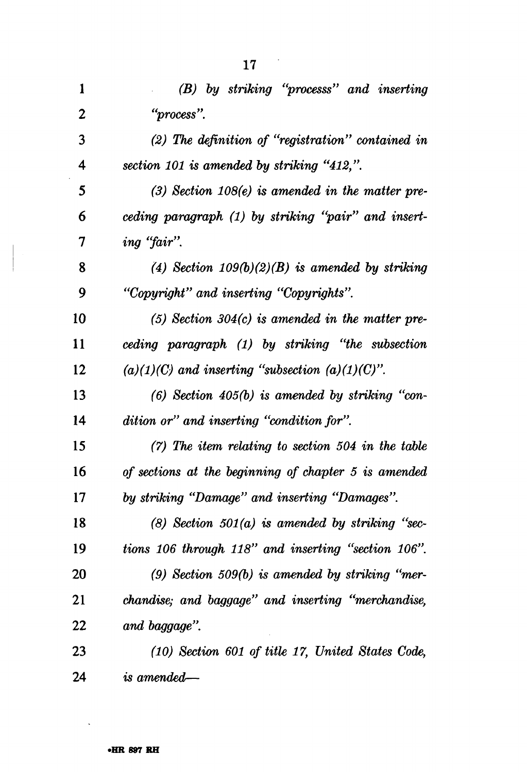| $\mathbf{1}$     | (B) by striking "processs" and inserting              |
|------------------|-------------------------------------------------------|
| $\boldsymbol{2}$ | "process".                                            |
| 3                | $(2)$ The definition of "registration" contained in   |
| 4                | section 101 is amended by striking "412,".            |
| 5                | $(3)$ Section 108 $(e)$ is amended in the matter pre- |
| 6                | ceding paragraph (1) by striking "pair" and insert-   |
| 7                | ing "fair".                                           |
| 8                | (4) Section $109(b)(2)(B)$ is amended by striking     |
| 9                | "Copyright" and inserting "Copyrights".               |
| 10               | $(5)$ Section 304 $(c)$ is amended in the matter pre- |
| 11               | ceding paragraph (1) by striking "the subsection      |
| 12               | $(a)(1)(C)$ and inserting "subsection $(a)(1)(C)$ ".  |
| 13               | $(6)$ Section 405 $(b)$ is amended by striking "con-  |
| 14               | dition or" and inserting "condition for".             |
| 15               | $(7)$ The item relating to section 504 in the table   |
| 16               | of sections at the beginning of chapter 5 is amended  |
| 17               | by striking "Damage" and inserting "Damages".         |
| 18               | $(8)$ Section 501 $(a)$ is amended by striking "sec-  |
| 19               | tions 106 through 118" and inserting "section 106".   |
| 20               | $(9)$ Section 509 $(b)$ is amended by striking "mer-  |
| 21               | chandise; and baggage" and inserting "merchandise,    |
| 22               | and baggage".                                         |
| 23               | (10) Section 601 of title 17, United States Code,     |
| 24               | $\it is\; amended \text{---}$                         |

 $\ddot{\phantom{0}}$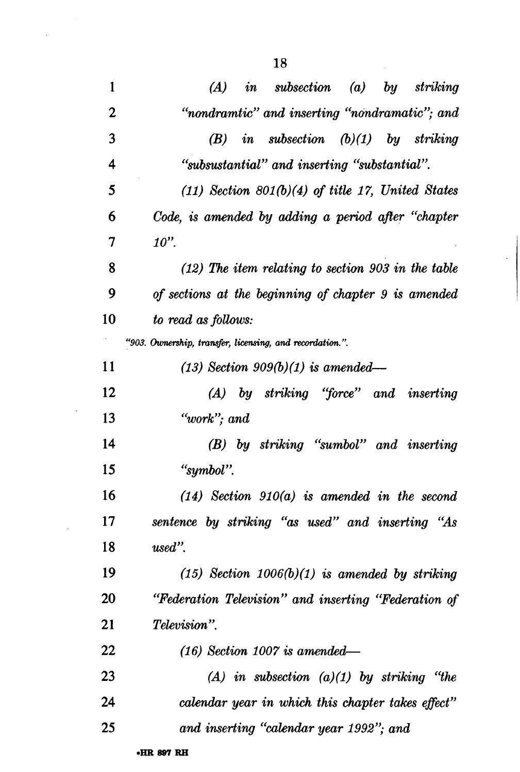$\sim 10^{-1}$ 

 $\mathbb{Z}^2$ 

 $\sim 10^{-1}$ 

| 1           | <i>in</i> subsection (a) by striking<br>(A)              |
|-------------|----------------------------------------------------------|
| $\mathbf 2$ | "nondramtic" and inserting "nondramatic"; and            |
| 3           | in subsection $(b)(1)$ by striking<br>(B)                |
| 4           | "subsustantial" and inserting "substantial".             |
| 5           | $(11)$ Section 801(b)(4) of title 17, United States      |
| 6           | Code, is amended by adding a period after "chapter       |
| 7           | $10$ ".                                                  |
| 8           | $(12)$ The item relating to section 903 in the table     |
| 9           | of sections at the beginning of chapter 9 is amended     |
| 10          | to read as follows:                                      |
|             | "903. Ownership, transfer, licensing, and recordation.". |
| 11          | $(13)$ Section 909 $(b)(1)$ is amended—                  |
| 12          | (A) by striking "force" and inserting                    |
| 13          | $"work";$ and                                            |
| 14          | (B) by striking "sumbol" and inserting                   |
| 15          | "symbol".                                                |
| 16          | $(14)$ Section $910(a)$ is amended in the second         |
| 17          | sentence by striking "as used" and inserting "As         |
| 18          | $used"$ .                                                |
| 19          | $(15)$ Section $1006(b)(1)$ is amended by striking       |
| 20          | "Federation Television" and inserting "Federation of     |
| 21          | <i>Television</i> ".                                     |
| 22          | $(16)$ Section 1007 is amended—                          |
| 23          | $(A)$ in subsection $(a)(1)$ by striking "the            |
| 24          | calendar year in which this chapter takes effect"        |
| 25          | and inserting "calendar year 1992"; and                  |
|             |                                                          |

 $\ddot{\cdot}$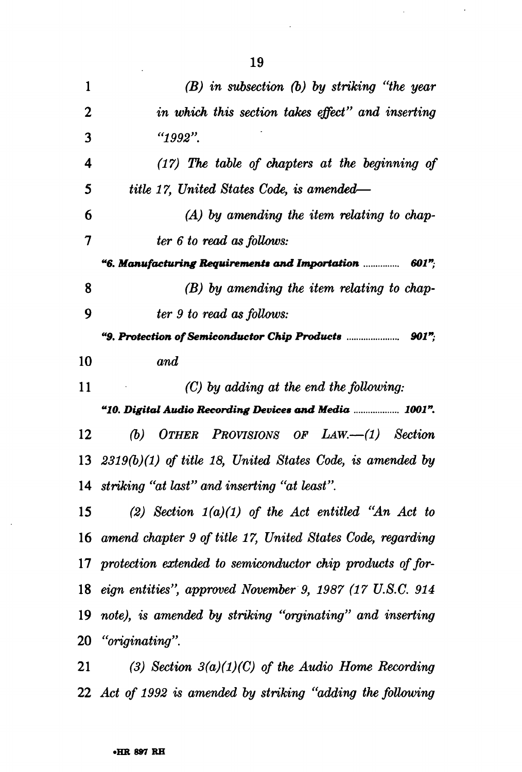| 1           | $(B)$ in subsection $(b)$ by striking "the year                |
|-------------|----------------------------------------------------------------|
| $\mathbf 2$ | in which this section takes effect" and inserting              |
| 3           | $"1992"$ .                                                     |
| 4           | $(17)$ The table of chapters at the beginning of               |
| 5           | title 17, United States Code, is amended—                      |
| 6           | $(A)$ by amending the item relating to chap-                   |
| 7           | ter 6 to read as follows:                                      |
|             | "6. Manufacturing Requirements and Importation $\ldots$ 601";  |
| 8           | $(B)$ by amending the item relating to chap-                   |
| 9           | ter 9 to read as follows:                                      |
|             |                                                                |
| 10          | and                                                            |
| 11          | $(C)$ by adding at the end the following:                      |
|             | "10. Digital Audio Recording Devices and Media  1001".         |
| 12          | OTHER PROVISIONS OF LAW.—(1) Section<br>(b)                    |
|             | 13 $2319(b)(1)$ of title 18, United States Code, is amended by |
|             | 14 striking "at last" and inserting "at least".                |
| 15          | (2) Section $1(a)(1)$ of the Act entitled "An Act to           |
|             | 16 amend chapter 9 of title 17, United States Code, regarding  |
|             | 17 protection extended to semiconductor chip products of for-  |
|             | 18 eign entities", approved November 9, 1987 (17 U.S.C. 914)   |
|             | 19 note), is amended by striking "orginating" and inserting    |
|             | 20 "originating".                                              |
| 21          | (3) Section $3(a)(1)(C)$ of the Audio Home Recording           |
|             |                                                                |

 *Act of 1992 is amended by striking "adding the following* 

 $\Delta \sim 10^4$ 

 $\hat{\mathcal{A}}$ 

 $\bar{\mathcal{A}}$ 

 $\langle \cdot \rangle$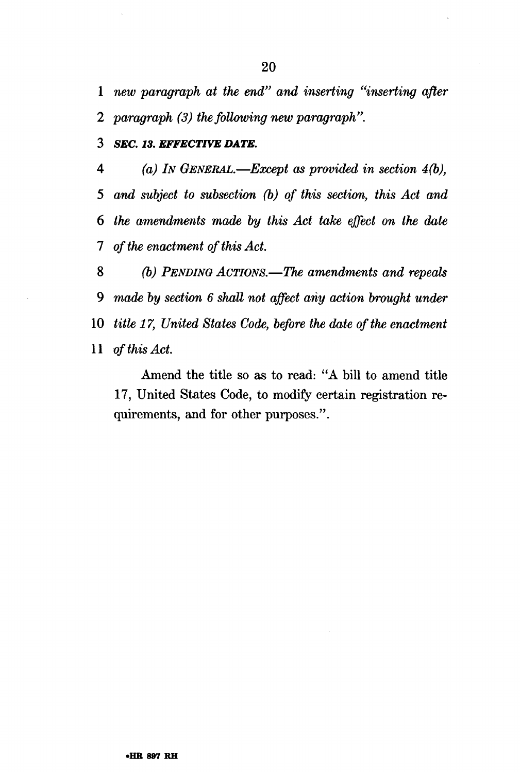1 *new paragraph at the end" and inserting "inserting after 2 paragraph (3) the following new paragraph".* 

**3** *SEC. 13. EFFECTIVE DATE.* 

 *(a) IN GENERAL.*—*Except as provided in section 4(b), and subject to subsection (b) of this section, this Act and the amendments made by this Act take effect on the date 1 of the enactment of this Act.* 

 *(b) PENDING ACTIONS.*—*The amendments and repeals 9 made by section 6 shall not affect any action brought under title 17, United States Code, before the date of the enactment of this Act.* 

Amend the title so as to read: "A bill to amend title 17, United States Code, to modify certain registration requirements, and for other purposes.".